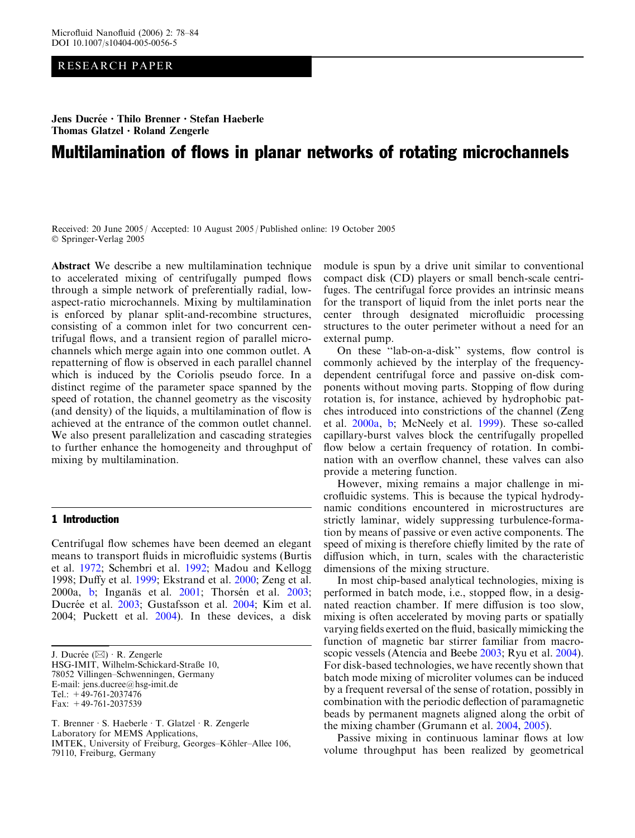# RESEARCH PAPER

Jens Ducrée · Thilo Brenner · Stefan Haeberle Thomas Glatzel  $\cdot$  Roland Zengerle

# Multilamination of flows in planar networks of rotating microchannels

Received: 20 June 2005 / Accepted: 10 August 2005 / Published online: 19 October 2005 Springer-Verlag 2005

Abstract We describe a new multilamination technique to accelerated mixing of centrifugally pumped flows through a simple network of preferentially radial, lowaspect-ratio microchannels. Mixing by multilamination is enforced by planar split-and-recombine structures, consisting of a common inlet for two concurrent centrifugal flows, and a transient region of parallel microchannels which merge again into one common outlet. A repatterning of flow is observed in each parallel channel which is induced by the Coriolis pseudo force. In a distinct regime of the parameter space spanned by the speed of rotation, the channel geometry as the viscosity (and density) of the liquids, a multilamination of flow is achieved at the entrance of the common outlet channel. We also present parallelization and cascading strategies to further enhance the homogeneity and throughput of mixing by multilamination.

# 1 Introduction

Centrifugal flow schemes have been deemed an elegant means to transport fluids in microfluidic systems (Burtis et al. [1972;](#page-5-0) Schembri et al. [1992;](#page-5-0) Madou and Kellogg [1998](#page-5-0); Duffy et al. [1999;](#page-5-0) Ekstrand et al. [2000;](#page-5-0) Zeng et al. [2000a,](#page-5-0) [b;](#page-5-0) Inganäs et al.  $2001$ ; Thorsén et al.  $2003$ ; Ducrée et al. [2003;](#page-5-0) Gustafsson et al. [2004;](#page-5-0) Kim et al. [2004](#page-5-0); Puckett et al. [2004\)](#page-5-0). In these devices, a disk

T. Brenner · S. Haeberle · T. Glatzel · R. Zengerle Laboratory for MEMS Applications, IMTEK, University of Freiburg, Georges-Köhler-Allee 106, 79110, Freiburg, Germany

module is spun by a drive unit similar to conventional compact disk (CD) players or small bench-scale centrifuges. The centrifugal force provides an intrinsic means for the transport of liquid from the inlet ports near the center through designated microfluidic processing structures to the outer perimeter without a need for an external pump.

On these ''lab-on-a-disk'' systems, flow control is commonly achieved by the interplay of the frequencydependent centrifugal force and passive on-disk components without moving parts. Stopping of flow during rotation is, for instance, achieved by hydrophobic patches introduced into constrictions of the channel (Zeng et al. [2000a](#page-5-0), [b;](#page-5-0) McNeely et al. [1999\)](#page-5-0). These so-called capillary-burst valves block the centrifugally propelled flow below a certain frequency of rotation. In combination with an overflow channel, these valves can also provide a metering function.

However, mixing remains a major challenge in microfluidic systems. This is because the typical hydrodynamic conditions encountered in microstructures are strictly laminar, widely suppressing turbulence-formation by means of passive or even active components. The speed of mixing is therefore chiefly limited by the rate of diffusion which, in turn, scales with the characteristic dimensions of the mixing structure.

In most chip-based analytical technologies, mixing is performed in batch mode, i.e., stopped flow, in a designated reaction chamber. If mere diffusion is too slow, mixing is often accelerated by moving parts or spatially varying fields exerted on the fluid, basically mimicking the function of magnetic bar stirrer familiar from macro-scopic vessels (Atencia and Beebe [2003](#page-5-0); Ryu et al. [2004\)](#page-5-0). For disk-based technologies, we have recently shown that batch mode mixing of microliter volumes can be induced by a frequent reversal of the sense of rotation, possibly in combination with the periodic deflection of paramagnetic beads by permanent magnets aligned along the orbit of the mixing chamber (Grumann et al. [2004](#page-5-0), [2005](#page-5-0)).

Passive mixing in continuous laminar flows at low volume throughput has been realized by geometrical

J. Ducrée ( $\boxtimes$ ) · R. Zengerle HSG-IMIT, Wilhelm-Schickard-Straße 10, 78052 Villingen–Schwenningen, Germany E-mail: jens.ducree@hsg-imit.de Tel.:  $+49-761-2037476$ Fax: +49-761-2037539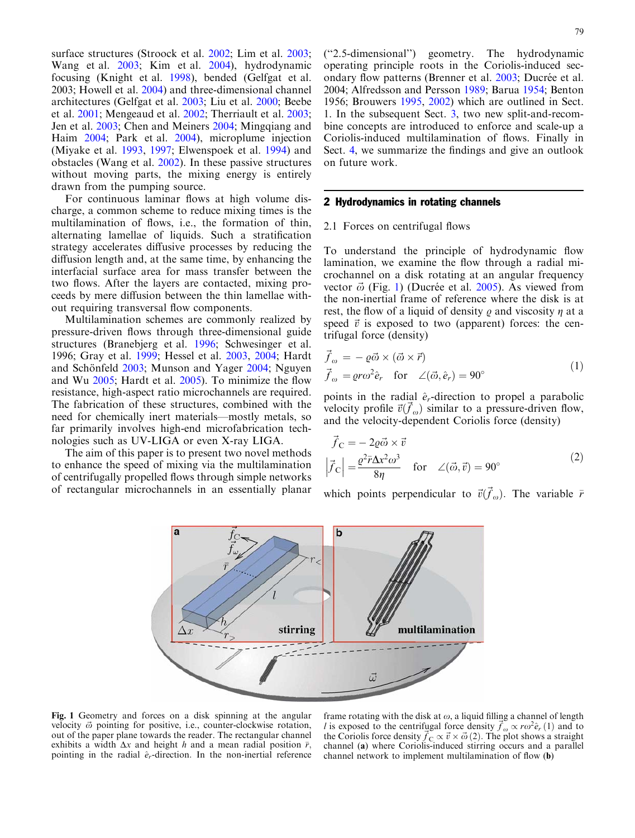<span id="page-1-0"></span>surface structures (Stroock et al. [2002;](#page-5-0) Lim et al. [2003](#page-5-0); Wang et al. [2003](#page-5-0); Kim et al. [2004](#page-5-0)), hydrodynamic focusing (Knight et al. [1998\)](#page-5-0), bended (Gelfgat et al. [2003](#page-5-0); Howell et al. [2004\)](#page-5-0) and three-dimensional channel architectures (Gelfgat et al. [2003;](#page-5-0) Liu et al. [2000](#page-6-0); Beebe et al. [2001](#page-6-0); Mengeaud et al. [2002;](#page-6-0) Therriault et al. [2003](#page-6-0); Jen et al. [2003;](#page-6-0) Chen and Meiners [2004;](#page-6-0) Mingqiang and Haim [2004](#page-6-0); Park et al. [2004](#page-6-0)), microplume injection (Miyake et al. [1993](#page-6-0), [1997;](#page-6-0) Elwenspoek et al. [1994\)](#page-6-0) and obstacles (Wang et al. [2002](#page-6-0)). In these passive structures without moving parts, the mixing energy is entirely drawn from the pumping source.

For continuous laminar flows at high volume discharge, a common scheme to reduce mixing times is the multilamination of flows, i.e., the formation of thin, alternating lamellae of liquids. Such a stratification strategy accelerates diffusive processes by reducing the diffusion length and, at the same time, by enhancing the interfacial surface area for mass transfer between the two flows. After the layers are contacted, mixing proceeds by mere diffusion between the thin lamellae without requiring transversal flow components.

Multilamination schemes are commonly realized by pressure-driven flows through three-dimensional guide structures (Branebjerg et al. [1996](#page-6-0); Schwesinger et al. [1996](#page-6-0); Gray et al. [1999;](#page-6-0) Hessel et al. [2003,](#page-6-0) [2004;](#page-6-0) Hardt and Schönfeld [2003;](#page-6-0) Munson and Yager [2004](#page-6-0); Nguyen and Wu [2005](#page-6-0); Hardt et al. [2005\)](#page-6-0). To minimize the flow resistance, high-aspect ratio microchannels are required. The fabrication of these structures, combined with the need for chemically inert materials—mostly metals, so far primarily involves high-end microfabrication technologies such as UV-LIGA or even X-ray LIGA.

The aim of this paper is to present two novel methods to enhance the speed of mixing via the multilamination of centrifugally propelled flows through simple networks of rectangular microchannels in an essentially planar

(''2.5-dimensional'') geometry. The hydrodynamic operating principle roots in the Coriolis-induced sec-ondary flow patterns (Brenner et al. [2003;](#page-6-0) Ducrée et al. [2004;](#page-6-0) Alfredsson and Persson [1989;](#page-6-0) Barua [1954](#page-6-0); Benton [1956;](#page-6-0) Brouwers [1995](#page-6-0), [2002\)](#page-6-0) which are outlined in Sect. 1. In the subsequent Sect. 3, two new split-and-recombine concepts are introduced to enforce and scale-up a Coriolis-induced multilamination of flows. Finally in Sect. 4, we summarize the findings and give an outlook on future work.

# 2 Hydrodynamics in rotating channels

#### 2.1 Forces on centrifugal flows

To understand the principle of hydrodynamic flow lamination, we examine the flow through a radial microchannel on a disk rotating at an angular frequency vector  $\vec{\omega}$  (Fig. 1) (Ducrée et al. 2005). As viewed from the non-inertial frame of reference where the disk is at rest, the flow of a liquid of density  $\rho$  and viscosity  $\eta$  at a speed  $\vec{v}$  is exposed to two (apparent) forces: the centrifugal force (density)

$$
\vec{f}_{\omega} = -\varrho \vec{\omega} \times (\vec{\omega} \times \vec{r})
$$
\n
$$
\vec{f}_{\omega} = \varrho r \omega^2 \hat{e}_r \quad \text{for} \quad \angle(\vec{\omega}, \hat{e}_r) = 90^\circ
$$
\n(1)

points in the radial  $\hat{e}_r$ -direction to propel a parabolic velocity profile  $\vec{v}(\vec{f}_{\omega})$  similar to a pressure-driven flow, and the velocity-dependent Coriolis force (density)

$$
\vec{f}_{\rm C} = -2\varrho \vec{\omega} \times \vec{v}
$$
\n
$$
\left| \vec{f}_{\rm C} \right| = \frac{\varrho^2 \vec{r} \Delta x^2 \omega^3}{8\eta} \quad \text{for} \quad \angle(\vec{\omega}, \vec{v}) = 90^\circ
$$
\n(2)

which points perpendicular to  $\vec{v}(\vec{f}_\text{o})$ . The variable  $\vec{r}$ 



Fig. 1 Geometry and forces on a disk spinning at the angular velocity  $\vec{\omega}$  pointing for positive, i.e., counter-clockwise rotation, out of the paper plane towards the reader. The rectangular channel exhibits a width  $\Delta x$  and height h and a mean radial position  $\bar{r}$ , pointing in the radial  $\hat{e}_r$ -direction. In the non-inertial reference

frame rotating with the disk at  $\omega$ , a liquid filling a channel of length l is exposed to the centrifugal force density  $\overline{f}_{\omega} \propto r \omega^2 \hat{e}_r (1)$  and to the Coriolis force density  $\vec{f}_C \propto \vec{v} \times \vec{\omega}$  (2). The plot shows a straight channel (a) where Coriolis-induced stirring occurs and a parallel channel network to implement multilamination of flow (b)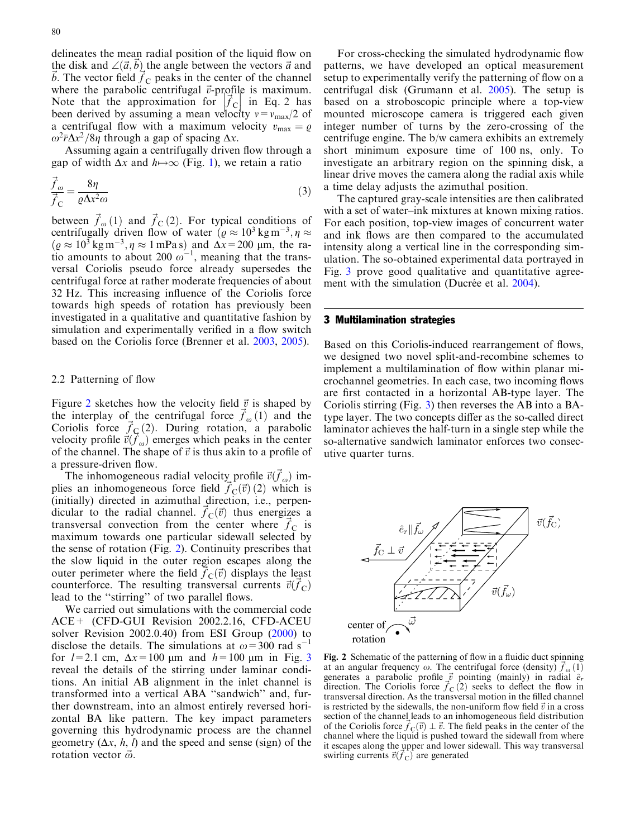delineates the mean radial position of the liquid flow on the disk and  $\angle(\vec{a}, \vec{b})$  the angle between the vectors  $\vec{a}$  and  $\vec{b}$ . The vector field  $\vec{f}_C$  peaks in the center of the channel where the parabolic centrifugal  $\vec{v}$ -profile is maximum. Note that the approximation for  $|\vec{f}_C|$  in Eq. 2 has been derived by assuming a mean velocity  $v = v_{\text{max}}/2$  of a centrifugal flow with a maximum velocity  $v_{\text{max}} = \varrho$  $\omega^2 \bar{r} \Delta x^2 / 8\eta$  through a gap of spacing  $\Delta x$ .

Assuming again a centrifugally driven flow through a gap of width  $\Delta x$  and  $h \rightarrow \infty$  (Fig. [1\), we retain a ratio](#page-1-0)

$$
\frac{\vec{f}_{\omega}}{\vec{f}_{\rm C}} = \frac{8\eta}{\varrho \Delta x^2 \omega} \tag{3}
$$

between  $\vec{f}_{\omega}(1)$  and  $\vec{f}_{\text{C}}(2)$ . For typical conditions of centrifugally driven flow of water  $(\varrho \approx 10^3 \text{ kg m}^{-3}, \eta \approx$  $(\varrho \approx 10^3 \text{ kg m}^{-3}, \eta \approx 1 \text{ mPa s})$  and  $\Delta x = 200 \text{ µm}$ , the ratio amounts to about 200  $\omega^{-1}$ , meaning that the transversal Coriolis pseudo force already supersedes the centrifugal force at rather moderate frequencies of about 32 Hz. This increasing influence of the Coriolis force towards high speeds of rotation has previously been investigated in a qualitative and quantitative fashion by simulation and experimentally verified in a flow switch based on the Coriolis force (Brenner et al. [2003,](#page-6-0) [2005\)](#page-6-0).

## 2.2 Patterning of flow

Figure 2 sketches how the velocity field  $\vec{v}$  is shaped by the interplay of the centrifugal force  $f_{\omega}(1)$  and the Coriolis force  $\vec{f}_C(2)$ . During rotation, a parabolic velocity profile  $\vec{v}(\vec{f}_{\omega})$  emerges which peaks in the center of the channel. The shape of  $\vec{v}$  is thus akin to a profile of a pressure-driven flow.

The inhomogeneous radial velocity profile  $\vec{v}(\vec{f}_{\omega})$  implies an inhomogeneous force field  $f_C(\vec{v})$  (2) which is (initially) directed in azimuthal direction, i.e., perpendicular to the radial channel.  $f_C(\vec{v})$  thus energizes a transversal convection from the center where  $\hat{f}_C$  is maximum towards one particular sidewall selected by the sense of rotation (Fig. 2). Continuity prescribes that the slow liquid in the outer region escapes along the outer perimeter where the field  $\hat{f}_C(\vec{v})$  displays the least counterforce. The resulting transversal currents  $\vec{v}(f_c)$ lead to the ''stirring'' of two parallel flows.

We carried out simulations with the commercial code ACE+ (CFD-GUI Revision 2002.2.16, CFD-ACEU solver Revision 2002.0.40) from ESI Group ([2000\)](#page-6-0) to disclose the details. The simulations at  $\omega$ =300 rad s<sup>-1</sup> for  $l=2.1$  cm,  $\Delta x=100$  µm and  $h=100$  µm in Fig. [3](#page-3-0) [reveal the details of the stirring under laminar condi](#page-3-0)[tions. An initial AB alignment in the inlet channel is](#page-3-0) [transformed into a vertical ABA ''sandwich'' and, fur](#page-3-0)[ther downstream, into an almost entirely reversed hori](#page-3-0)[zontal BA like pattern. The key impact parameters](#page-3-0) [governing this hydrodynamic process are the channel](#page-3-0) geometry  $(\Delta x, h, l)$  and the speed and sense (sign) of the [rotation vector](#page-3-0)  $\vec{\omega}$ .

For cross-checking the simulated hydrodynamic flow patterns, we have developed an optical measurement setup to experimentally verify the patterning of flow on a centrifugal disk (Grumann et al. [2005\)](#page-6-0). The setup is based on a stroboscopic principle where a top-view mounted microscope camera is triggered each given integer number of turns by the zero-crossing of the centrifuge engine. The b/w camera exhibits an extremely short minimum exposure time of 100 ns, only. To investigate an arbitrary region on the spinning disk, a linear drive moves the camera along the radial axis while a time delay adjusts the azimuthal position.

The captured gray-scale intensities are then calibrated with a set of water–ink mixtures at known mixing ratios. For each position, top-view images of concurrent water and ink flows are then compared to the accumulated intensity along a vertical line in the corresponding simulation. The so-obtained experimental data portrayed in Fig. 3 [prove good qualitative and quantitative agree](#page-3-0)ment with the simulation (Ducrée et al. 2004).

### 3 Multilamination strategies

Based on this Coriolis-induced rearrangement of flows, we designed two novel split-and-recombine schemes to implement a multilamination of flow within planar microchannel geometries. In each case, two incoming flows are first contacted in a horizontal AB-type layer. The Coriolis stirring (Fig. [3\) then reverses the AB into a BA](#page-3-0)[type layer. The two concepts differ as the so-called direct](#page-3-0) [laminator achieves the half-turn in a single step while the](#page-3-0) [so-alternative sandwich laminator enforces two consec](#page-3-0)[utive quarter turns.](#page-3-0)



Fig. 2 Schematic of the patterning of flow in a fluidic duct spinning at an angular frequency  $\omega$ . The centrifugal force (density)  $\vec{f}_{\omega}(1)$ generates a parabolic profile  $\vec{v}$  pointing (mainly) in radial  $\hat{e}_r$  direction. The Coriolis force  $\vec{f}_C(2)$  seeks to deflect the flow in transversal direction. As the transversal motion in the filled channel is restricted by the sidewalls, the non-uniform flow field  $\vec{v}$  in a cross section of the channel leads to an inhomogeneous field distribution of the Coriolis force  $\vec{f}_C(\vec{v}) \perp \vec{v}$ . The field peaks in the center of the channel where the liquid is pushed toward the sidewall from where it escapes along the upper and lower sidewall. This way transversal swirling currents  $\vec{v}(\hat{f}_C)$  are generated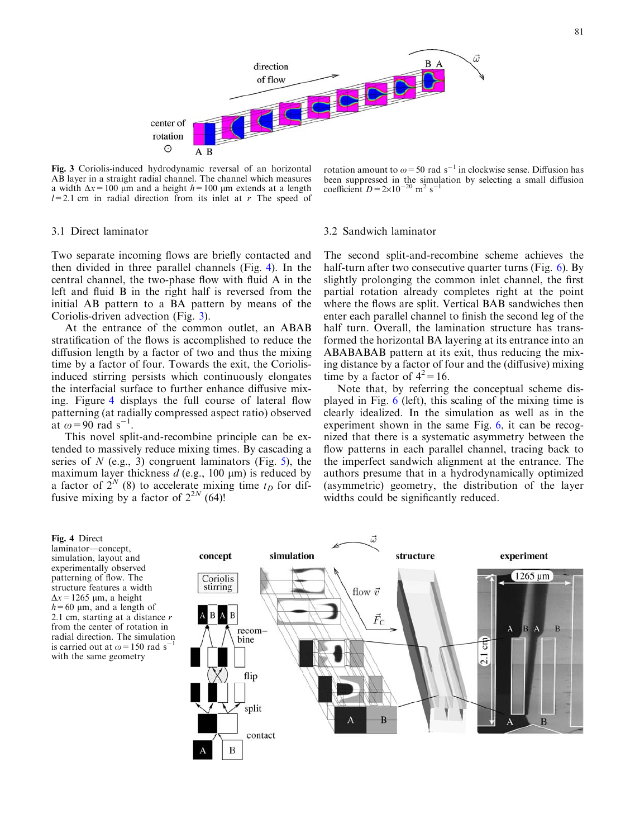<span id="page-3-0"></span>

Fig. 3 Coriolis-induced hydrodynamic reversal of an horizontal AB layer in a straight radial channel. The channel which measures a width  $\Delta x=100$  µm and a height  $h=100$  µm extends at a length  $l=2.1$  cm in radial direction from its inlet at r The speed of

3.1 Direct laminator

Two separate incoming flows are briefly contacted and then divided in three parallel channels (Fig. 4). In the central channel, the two-phase flow with fluid A in the left and fluid B in the right half is reversed from the initial AB pattern to a BA pattern by means of the Coriolis-driven advection (Fig. 3).

At the entrance of the common outlet, an ABAB stratification of the flows is accomplished to reduce the diffusion length by a factor of two and thus the mixing time by a factor of four. Towards the exit, the Coriolisinduced stirring persists which continuously elongates the interfacial surface to further enhance diffusive mixing. Figure 4 displays the full course of lateral flow patterning (at radially compressed aspect ratio) observed at  $\omega = 90$  rad s<sup>-1</sup>.

This novel split-and-recombine principle can be extended to massively reduce mixing times. By cascading a series of  $N$  (e.g., 3) congruent laminators (Fig. [5\), the](#page-4-0) [maximum layer thickness](#page-4-0)  $d$  (e.g., 100  $\mu$ m) is reduced by [a](#page-4-0) [factor](#page-4-0) [of](#page-4-0)  $2^N$  $2^N$  [\(8\) to accelerate mixing time](#page-4-0)  $t_D$  [for dif](#page-4-0)[fusive](#page-4-0) [mixing](#page-4-0) [by](#page-4-0) [a](#page-4-0) [factor](#page-4-0) [of](#page-4-0)  $2^{2N}$  $2^{2N}$  [\(64\)!](#page-4-0)

3.2 Sandwich laminator

coefficient  $D = 2 \times 10^{-20}$  m<sup>2</sup> s<sup>-1</sup>

The second split-and-recombine scheme achieves the half-turn after two consecutive quarter turns (Fig. [6\). By](#page-4-0) [slightly prolonging the common inlet channel, the first](#page-4-0) [partial rotation already completes right at the point](#page-4-0) [where the flows are split. Vertical BAB sandwiches then](#page-4-0) [enter each parallel channel to finish the second leg of the](#page-4-0) [half turn. Overall, the lamination structure has trans](#page-4-0)[formed the horizontal BA layering at its entrance into an](#page-4-0) [ABABABAB pattern at its exit, thus reducing the mix](#page-4-0)[ing distance by a factor of four and the \(diffusive\) mixing](#page-4-0) [time](#page-4-0) [by](#page-4-0) [a](#page-4-0) [factor](#page-4-0) [of](#page-4-0)  $4^2 = 16$ .

rotation amount to  $\omega$  = 50 rad s<sup>-1</sup> in clockwise sense. Diffusion has been suppressed in the simulation by selecting a small diffusion

Note that, by referring the conceptual scheme displayed in Fig. 6 [\(left\), this scaling of the mixing time is](#page-4-0) [clearly idealized. In the simulation as well as in the](#page-4-0) [experiment shown in the same Fig.](#page-4-0) 6, it can be recog[nized that there is a systematic asymmetry between the](#page-4-0) [flow patterns in each parallel channel, tracing back to](#page-4-0) [the imperfect sandwich alignment at the entrance. The](#page-4-0) [authors presume that in a hydrodynamically optimized](#page-4-0) [\(asymmetric\) geometry, the distribution of the layer](#page-4-0) [widths could be significantly reduced.](#page-4-0)

#### Fig. 4 Direct

laminator—concept, simulation, layout and experimentally observed patterning of flow. The structure features a width  $\Delta x$  = 1265 µm, a height  $h=60 \mu m$ , and a length of 2.1 cm, starting at a distance  $r$ from the center of rotation in radial direction. The simulation is carried out at  $\omega$ =150 rad s<sup>-1</sup> with the same geometry

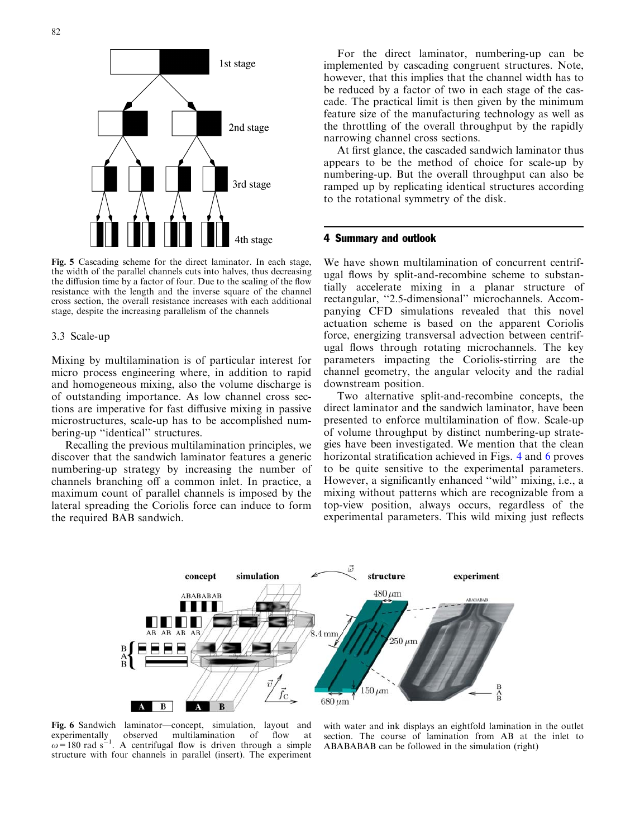<span id="page-4-0"></span>82



Fig. 5 Cascading scheme for the direct laminator. In each stage, the width of the parallel channels cuts into halves, thus decreasing the diffusion time by a factor of four. Due to the scaling of the flow resistance with the length and the inverse square of the channel cross section, the overall resistance increases with each additional stage, despite the increasing parallelism of the channels

#### 3.3 Scale-up

Mixing by multilamination is of particular interest for micro process engineering where, in addition to rapid and homogeneous mixing, also the volume discharge is of outstanding importance. As low channel cross sections are imperative for fast diffusive mixing in passive microstructures, scale-up has to be accomplished numbering-up "identical" structures.

Recalling the previous multilamination principles, we discover that the sandwich laminator features a generic numbering-up strategy by increasing the number of channels branching off a common inlet. In practice, a maximum count of parallel channels is imposed by the lateral spreading the Coriolis force can induce to form the required BAB sandwich.

For the direct laminator, numbering-up can be implemented by cascading congruent structures. Note, however, that this implies that the channel width has to be reduced by a factor of two in each stage of the cascade. The practical limit is then given by the minimum feature size of the manufacturing technology as well as the throttling of the overall throughput by the rapidly narrowing channel cross sections.

At first glance, the cascaded sandwich laminator thus appears to be the method of choice for scale-up by numbering-up. But the overall throughput can also be ramped up by replicating identical structures according to the rotational symmetry of the disk.

#### 4 Summary and outlook

We have shown multilamination of concurrent centrifugal flows by split-and-recombine scheme to substantially accelerate mixing in a planar structure of rectangular, ''2.5-dimensional'' microchannels. Accompanying CFD simulations revealed that this novel actuation scheme is based on the apparent Coriolis force, energizing transversal advection between centrifugal flows through rotating microchannels. The key parameters impacting the Coriolis-stirring are the channel geometry, the angular velocity and the radial downstream position.

Two alternative split-and-recombine concepts, the direct laminator and the sandwich laminator, have been presented to enforce multilamination of flow. Scale-up of volume throughput by distinct numbering-up strategies have been investigated. We mention that the clean horizontal stratification achieved in Figs. 4 and 6 proves to be quite sensitive to the experimental parameters. However, a significantly enhanced ''wild'' mixing, i.e., a mixing without patterns which are recognizable from a top-view position, always occurs, regardless of the experimental parameters. This wild mixing just reflects



Fig. 6 Sandwich laminator—concept, simulation, layout and experimentally observed multilamination of flow at  $\omega$  = 180 rad s<sup>-1</sup>. A centrifugal flow is driven through a simple structure with four channels in parallel (insert). The experiment

with water and ink displays an eightfold lamination in the outlet section. The course of lamination from AB at the inlet to ABABABAB can be followed in the simulation (right)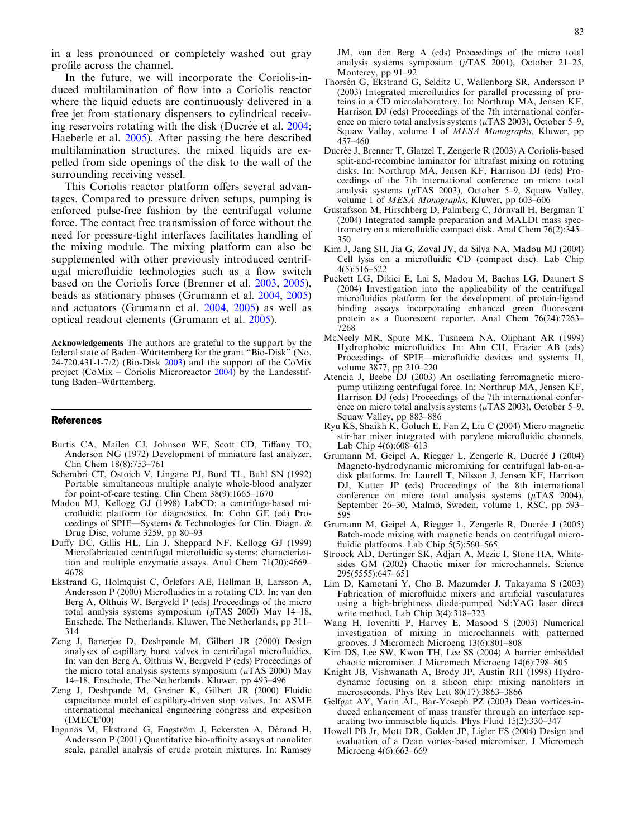<span id="page-5-0"></span>[in a less pronounced or completely washed out gray](#page-4-0) [profile across the channel.](#page-4-0)

In the future, we will incorporate the Coriolis-induced multilamination of flow into a Coriolis reactor where the liquid educts are continuously delivered in a free jet from stationary dispensers to cylindrical receiv-ing reservoirs rotating with the disk (Ducrée et al. [2004](#page-6-0); Haeberle et al. [2005\)](#page-6-0). After passing the here described multilamination structures, the mixed liquids are expelled from side openings of the disk to the wall of the surrounding receiving vessel.

This Coriolis reactor platform offers several advantages. Compared to pressure driven setups, pumping is enforced pulse-free fashion by the centrifugal volume force. The contact free transmission of force without the need for pressure-tight interfaces facilitates handling of the mixing module. The mixing platform can also be supplemented with other previously introduced centrifugal microfluidic technologies such as a flow switch based on the Coriolis force (Brenner et al. [2003](#page-6-0), [2005\)](#page-6-0), beads as stationary phases (Grumann et al. [2004](#page-6-0), [2005\)](#page-6-0) and actuators (Grumann et al. 2004, 2005) as well as optical readout elements (Grumann et al. [2005\)](#page-6-0).

Acknowledgements The authors are grateful to the support by the federal state of Baden–Württemberg for the grant "Bio-Disk" (No. 24-720.431-1-7/2) (Bio-Disk [2003](#page-6-0)) and the support of the CoMix project (CoMix – Coriolis Microreactor [2004](#page-6-0)) by the Landesstiftung Baden–Württemberg.

#### References

- Burtis CA, Mailen CJ, Johnson WF, Scott CD, Tiffany TO, Anderson NG (1972) Development of miniature fast analyzer. Clin Chem 18(8):753–761
- Schembri CT, Ostoich V, Lingane PJ, Burd TL, Buhl SN (1992) Portable simultaneous multiple analyte whole-blood analyzer for point-of-care testing. Clin Chem 38(9):1665–1670
- Madou MJ, Kellogg GJ (1998) LabCD: a centrifuge-based microfluidic platform for diagnostics. In: Cohn GE (ed) Proceedings of SPIE—Systems & Technologies for Clin. Diagn. & Drug Disc, volume 3259, pp 80–93
- Duffy DC, Gillis HL, Lin J, Sheppard NF, Kellogg GJ (1999) Microfabricated centrifugal microfluidic systems: characterization and multiple enzymatic assays. Anal Chem 71(20):4669– 4678
- Ekstrand G, Holmquist C, Örlefors AE, Hellman B, Larsson A, Andersson P (2000) Microfluidics in a rotating CD. In: van den Berg A, Olthuis W, Bergveld P (eds) Proceedings of the micro total analysis systems symposium  $(\mu$ TAS 2000) May 14–18, Enschede, The Netherlands. Kluwer, The Netherlands, pp 311– 314
- Zeng J, Banerjee D, Deshpande M, Gilbert JR (2000) Design analyses of capillary burst valves in centrifugal microfluidics. In: van den Berg A, Olthuis W, Bergveld P (eds) Proceedings of the micro total analysis systems symposium ( $\mu$ TAS 2000) May 14–18, Enschede, The Netherlands. Kluwer, pp 493–496
- Zeng J, Deshpande M, Greiner K, Gilbert JR (2000) Fluidic capacitance model of capillary-driven stop valves. In: ASME international mechanical engineering congress and exposition (IMECE'00)
- Inganäs M, Ekstrand G, Engström J, Eckersten A, Dérand H, Andersson P (2001) Quantitative bio-affinity assays at nanoliter scale, parallel analysis of crude protein mixtures. In: Ramsey

JM, van den Berg A (eds) Proceedings of the micro total analysis systems symposium  $(\mu$ TAS 2001), October 21–25, Monterey, pp 91–92

- Thorsén G, Ekstrand G, Selditz U, Wallenborg SR, Andersson P (2003) Integrated microfluidics for parallel processing of proteins in a CD microlaboratory. In: Northrup MA, Jensen KF, Harrison DJ (eds) Proceedings of the 7th international conference on micro total analysis systems ( $\mu$ TAS 2003), October 5–9, Squaw Valley, volume 1 of MESA Monographs, Kluwer, pp 457–460
- Ducrée J, Brenner T, Glatzel T, Zengerle R (2003) A Coriolis-based split-and-recombine laminator for ultrafast mixing on rotating disks. In: Northrup MA, Jensen KF, Harrison DJ (eds) Proceedings of the 7th international conference on micro total analysis systems ( $\mu$ TAS 2003), October 5–9, Squaw Valley, volume 1 of MESA Monographs, Kluwer, pp 603–606
- Gustafsson M, Hirschberg D, Palmberg C, Jörnvall H, Bergman T (2004) Integrated sample preparation and MALDI mass spectrometry on a microfluidic compact disk. Anal Chem 76(2):345– 350
- Kim J, Jang SH, Jia G, Zoval JV, da Silva NA, Madou MJ (2004) Cell lysis on a microfluidic CD (compact disc). Lab Chip 4(5):516–522
- Puckett LG, Dikici E, Lai S, Madou M, Bachas LG, Daunert S (2004) Investigation into the applicability of the centrifugal microfluidics platform for the development of protein-ligand binding assays incorporating enhanced green fluorescent protein as a fluorescent reporter. Anal Chem 76(24):7263– 7268
- McNeely MR, Spute MK, Tusneem NA, Oliphant AR (1999) Hydrophobic microfluidics. In: Ahn CH, Frazier AB (eds) Proceedings of SPIE—microfluidic devices and systems II, volume 3877, pp 210–220
- Atencia J, Beebe DJ (2003) An oscillating ferromagnetic micropump utilizing centrifugal force. In: Northrup MA, Jensen KF, Harrison DJ (eds) Proceedings of the 7th international conference on micro total analysis systems ( $\mu$ TAS 2003), October 5–9, Squaw Valley, pp 883–886
- Ryu KS, Shaikh K, Goluch E, Fan Z, Liu C (2004) Micro magnetic stir-bar mixer integrated with parylene microfluidic channels. Lab Chip 4(6):608–613
- Grumann M, Geipel A, Riegger L, Zengerle R, Ducrée J (2004) Magneto-hydrodynamic micromixing for centrifugal lab-on-adisk platforms. In: Laurell T, Nilsson J, Jensen KF, Harrison DJ, Kutter JP (eds) Proceedings of the 8th international conference on micro total analysis systems  $(\mu$ TAS 2004), September 26–30, Malmö, Sweden, volume 1, RSC, pp 593– 595
- Grumann M, Geipel A, Riegger L, Zengerle R, Ducrée J (2005) Batch-mode mixing with magnetic beads on centrifugal microfluidic platforms. Lab Chip 5(5):560–565
- Stroock AD, Dertinger SK, Adjari A, Mezic I, Stone HA, Whitesides GM (2002) Chaotic mixer for microchannels. Science 295(5555):647–651
- Lim D, Kamotani Y, Cho B, Mazumder J, Takayama S (2003) Fabrication of microfluidic mixers and artificial vasculatures using a high-brightness diode-pumped Nd:YAG laser direct write method. Lab Chip 3(4):318–323
- Wang H, Iovenitti P, Harvey E, Masood S (2003) Numerical investigation of mixing in microchannels with patterned grooves. J Micromech Microeng 13(6):801–808
- Kim DS, Lee SW, Kwon TH, Lee SS (2004) A barrier embedded chaotic micromixer. J Micromech Microeng 14(6):798–805
- Knight JB, Vishwanath A, Brody JP, Austin RH (1998) Hydrodynamic focusing on a silicon chip: mixing nanoliters in microseconds. Phys Rev Lett 80(17):3863–3866
- Gelfgat AY, Yarin AL, Bar-Yoseph PZ (2003) Dean vortices-induced enhancement of mass transfer through an interface separating two immiscible liquids. Phys Fluid 15(2):330–347
- Howell PB Jr, Mott DR, Golden JP, Ligler FS (2004) Design and evaluation of a Dean vortex-based micromixer. J Micromech Microeng 4(6):663–669